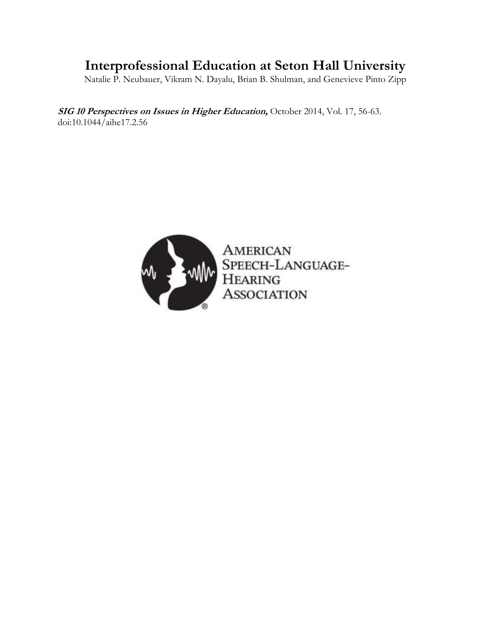# **Interprofessional Education at Seton Hall University**

Natalie P. Neubauer, Vikram N. Dayalu, Brian B. Shulman, and Genevieve Pinto Zipp

**SIG 10 Perspectives on Issues in Higher Education,** October 2014, Vol. 17, 56-63. doi:10.1044/aihe17.2.56



AMERICAN<br>SPEECH-LANGUAGE-HEARING<br>ASSOCIATION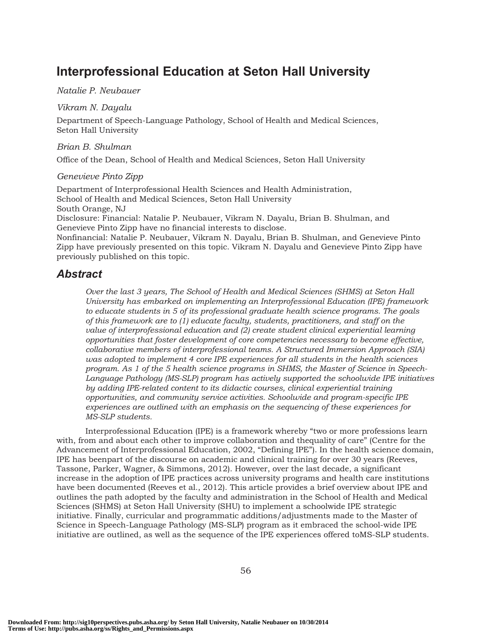# Interprofessional Education at Seton Hall University

#### Natalie P. Neubauer

#### Vikram N. Dayalu

Department of Speech-Language Pathology, School of Health and Medical Sciences, Seton Hall University

#### Brian B. Shulman

Office of the Dean, School of Health and Medical Sciences, Seton Hall University

### Genevieve Pinto Zipp

Department of Interprofessional Health Sciences and Health Administration, School of Health and Medical Sciences, Seton Hall University South Orange, NJ

Disclosure: Financial: Natalie P. Neubauer, Vikram N. Dayalu, Brian B. Shulman, and Genevieve Pinto Zipp have no financial interests to disclose.

Nonfinancial: Natalie P. Neubauer, Vikram N. Dayalu, Brian B. Shulman, and Genevieve Pinto Zipp have previously presented on this topic. Vikram N. Dayalu and Genevieve Pinto Zipp have previously published on this topic.

# Abstract

Over the last 3 years, The School of Health and Medical Sciences (SHMS) at Seton Hall University has embarked on implementing an Interprofessional Education (IPE) framework to educate students in 5 of its professional graduate health science programs. The goals of this framework are to (1) educate faculty, students, practitioners, and staff on the value of interprofessional education and (2) create student clinical experiential learning opportunities that foster development of core competencies necessary to become effective, collaborative members of interprofessional teams. A Structured Immersion Approach (SIA) was adopted to implement 4 core IPE experiences for all students in the health sciences program. As 1 of the 5 health science programs in SHMS, the Master of Science in Speech-Language Pathology (MS-SLP) program has actively supported the schoolwide IPE initiatives by adding IPE-related content to its didactic courses, clinical experiential training opportunities, and community service activities. Schoolwide and program-specific IPE experiences are outlined with an emphasis on the sequencing of these experiences for MS-SLP students.

Interprofessional Education (IPE) is a framework whereby "two or more professions learn with, from and about each other to improve collaboration and thequality of care" (Centre for the Advancement of Interprofessional Education, 2002, "Defining IPE"). In the health science domain, IPE has beenpart of the discourse on academic and clinical training for over 30 years (Reeves, Tassone, Parker, Wagner, & Simmons, 2012). However, over the last decade, a significant increase in the adoption of IPE practices across university programs and health care institutions have been documented (Reeves et al., 2012). This article provides a brief overview about IPE and outlines the path adopted by the faculty and administration in the School of Health and Medical Sciences (SHMS) at Seton Hall University (SHU) to implement a schoolwide IPE strategic initiative. Finally, curricular and programmatic additions/adjustments made to the Master of Science in Speech-Language Pathology (MS-SLP) program as it embraced the school-wide IPE initiative are outlined, as well as the sequence of the IPE experiences offered toMS-SLP students.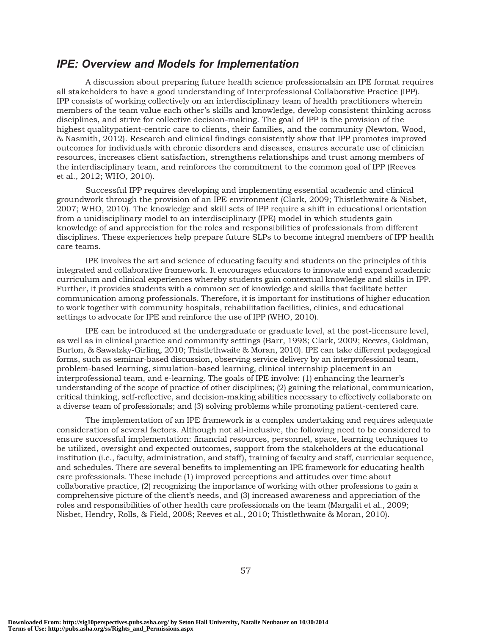### IPE: Overview and Models for Implementation

A discussion about preparing future health science professionalsin an IPE format requires all stakeholders to have a good understanding of Interprofessional Collaborative Practice (IPP). IPP consists of working collectively on an interdisciplinary team of health practitioners wherein members of the team value each other's skills and knowledge, develop consistent thinking across disciplines, and strive for collective decision-making. The goal of IPP is the provision of the highest qualitypatient-centric care to clients, their families, and the community (Newton, Wood, & Nasmith, 2012). Research and clinical findings consistently show that IPP promotes improved outcomes for individuals with chronic disorders and diseases, ensures accurate use of clinician resources, increases client satisfaction, strengthens relationships and trust among members of the interdisciplinary team, and reinforces the commitment to the common goal of IPP (Reeves et al., 2012; WHO, 2010).

Successful IPP requires developing and implementing essential academic and clinical groundwork through the provision of an IPE environment (Clark, 2009; Thistlethwaite & Nisbet, 2007; WHO, 2010). The knowledge and skill sets of IPP require a shift in educational orientation from a unidisciplinary model to an interdisciplinary (IPE) model in which students gain knowledge of and appreciation for the roles and responsibilities of professionals from different disciplines. These experiences help prepare future SLPs to become integral members of IPP health care teams.

IPE involves the art and science of educating faculty and students on the principles of this integrated and collaborative framework. It encourages educators to innovate and expand academic curriculum and clinical experiences whereby students gain contextual knowledge and skills in IPP. Further, it provides students with a common set of knowledge and skills that facilitate better communication among professionals. Therefore, it is important for institutions of higher education to work together with community hospitals, rehabilitation facilities, clinics, and educational settings to advocate for IPE and reinforce the use of IPP (WHO, 2010).

IPE can be introduced at the undergraduate or graduate level, at the post-licensure level, as well as in clinical practice and community settings (Barr, 1998; Clark, 2009; Reeves, Goldman, Burton, & Sawatzky-Girling, 2010; Thistlethwaite & Moran, 2010). IPE can take different pedagogical forms, such as seminar-based discussion, observing service delivery by an interprofessional team, problem-based learning, simulation-based learning, clinical internship placement in an interprofessional team, and e-learning. The goals of IPE involve: (1) enhancing the learner's understanding of the scope of practice of other disciplines; (2) gaining the relational, communication, critical thinking, self-reflective, and decision-making abilities necessary to effectively collaborate on a diverse team of professionals; and (3) solving problems while promoting patient-centered care.

The implementation of an IPE framework is a complex undertaking and requires adequate consideration of several factors. Although not all-inclusive, the following need to be considered to ensure successful implementation: financial resources, personnel, space, learning techniques to be utilized, oversight and expected outcomes, support from the stakeholders at the educational institution (i.e., faculty, administration, and staff), training of faculty and staff, curricular sequence, and schedules. There are several benefits to implementing an IPE framework for educating health care professionals. These include (1) improved perceptions and attitudes over time about collaborative practice, (2) recognizing the importance of working with other professions to gain a comprehensive picture of the client's needs, and (3) increased awareness and appreciation of the roles and responsibilities of other health care professionals on the team (Margalit et al., 2009; Nisbet, Hendry, Rolls, & Field, 2008; Reeves et al., 2010; Thistlethwaite & Moran, 2010).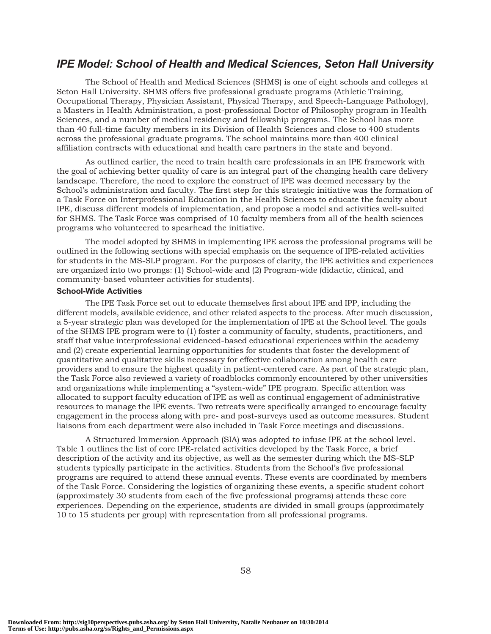# IPE Model: School of Health and Medical Sciences, Seton Hall University

The School of Health and Medical Sciences (SHMS) is one of eight schools and colleges at Seton Hall University. SHMS offers five professional graduate programs (Athletic Training, Occupational Therapy, Physician Assistant, Physical Therapy, and Speech-Language Pathology), a Masters in Health Administration, a post-professional Doctor of Philosophy program in Health Sciences, and a number of medical residency and fellowship programs. The School has more than 40 full-time faculty members in its Division of Health Sciences and close to 400 students across the professional graduate programs. The school maintains more than 400 clinical affiliation contracts with educational and health care partners in the state and beyond.

As outlined earlier, the need to train health care professionals in an IPE framework with the goal of achieving better quality of care is an integral part of the changing health care delivery landscape. Therefore, the need to explore the construct of IPE was deemed necessary by the School's administration and faculty. The first step for this strategic initiative was the formation of a Task Force on Interprofessional Education in the Health Sciences to educate the faculty about IPE, discuss different models of implementation, and propose a model and activities well-suited for SHMS. The Task Force was comprised of 10 faculty members from all of the health sciences programs who volunteered to spearhead the initiative.

The model adopted by SHMS in implementing IPE across the professional programs will be outlined in the following sections with special emphasis on the sequence of IPE-related activities for students in the MS-SLP program. For the purposes of clarity, the IPE activities and experiences are organized into two prongs: (1) School-wide and (2) Program-wide (didactic, clinical, and community-based volunteer activities for students).

#### School-Wide Activities

The IPE Task Force set out to educate themselves first about IPE and IPP, including the different models, available evidence, and other related aspects to the process. After much discussion, a 5-year strategic plan was developed for the implementation of IPE at the School level. The goals of the SHMS IPE program were to (1) foster a community of faculty, students, practitioners, and staff that value interprofessional evidenced-based educational experiences within the academy and (2) create experiential learning opportunities for students that foster the development of quantitative and qualitative skills necessary for effective collaboration among health care providers and to ensure the highest quality in patient-centered care. As part of the strategic plan, the Task Force also reviewed a variety of roadblocks commonly encountered by other universities and organizations while implementing a "system-wide" IPE program. Specific attention was allocated to support faculty education of IPE as well as continual engagement of administrative resources to manage the IPE events. Two retreats were specifically arranged to encourage faculty engagement in the process along with pre- and post-surveys used as outcome measures. Student liaisons from each department were also included in Task Force meetings and discussions.

A Structured Immersion Approach (SIA) was adopted to infuse IPE at the school level. Table 1 outlines the list of core IPE-related activities developed by the Task Force, a brief description of the activity and its objective, as well as the semester during which the MS-SLP students typically participate in the activities. Students from the School's five professional programs are required to attend these annual events. These events are coordinated by members of the Task Force. Considering the logistics of organizing these events, a specific student cohort (approximately 30 students from each of the five professional programs) attends these core experiences. Depending on the experience, students are divided in small groups (approximately 10 to 15 students per group) with representation from all professional programs.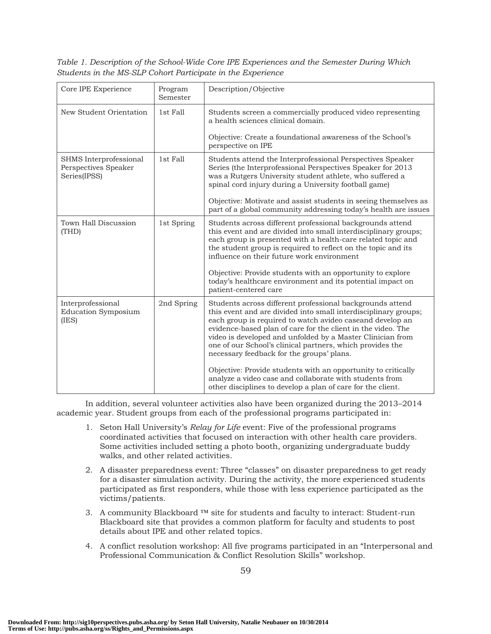Table 1. Description of the School-Wide Core IPE Experiences and the Semester During Which Students in the MS-SLP Cohort Participate in the Experience

| Core IPE Experience                                            | Program<br>Semester | Description/Objective                                                                                                                                                                                                                                                                                                                                                                                                                                                                                                                                                                                                        |
|----------------------------------------------------------------|---------------------|------------------------------------------------------------------------------------------------------------------------------------------------------------------------------------------------------------------------------------------------------------------------------------------------------------------------------------------------------------------------------------------------------------------------------------------------------------------------------------------------------------------------------------------------------------------------------------------------------------------------------|
| New Student Orientation                                        | 1st Fall            | Students screen a commercially produced video representing<br>a health sciences clinical domain.<br>Objective: Create a foundational awareness of the School's<br>perspective on IPE                                                                                                                                                                                                                                                                                                                                                                                                                                         |
| SHMS Interprofessional<br>Perspectives Speaker<br>Series(IPSS) | 1st Fall            | Students attend the Interprofessional Perspectives Speaker<br>Series (the Interprofessional Perspectives Speaker for 2013<br>was a Rutgers University student athlete, who suffered a<br>spinal cord injury during a University football game)<br>Objective: Motivate and assist students in seeing themselves as<br>part of a global community addressing today's health are issues                                                                                                                                                                                                                                         |
| Town Hall Discussion<br>(THD)                                  | 1st Spring          | Students across different professional backgrounds attend<br>this event and are divided into small interdisciplinary groups;<br>each group is presented with a health-care related topic and<br>the student group is required to reflect on the topic and its<br>influence on their future work environment<br>Objective: Provide students with an opportunity to explore<br>today's healthcare environment and its potential impact on<br>patient-centered care                                                                                                                                                             |
| Interprofessional<br><b>Education Symposium</b><br>(IES)       | 2nd Spring          | Students across different professional backgrounds attend<br>this event and are divided into small interdisciplinary groups;<br>each group is required to watch avideo caseand develop an<br>evidence-based plan of care for the client in the video. The<br>video is developed and unfolded by a Master Clinician from<br>one of our School's clinical partners, which provides the<br>necessary feedback for the groups' plans.<br>Objective: Provide students with an opportunity to critically<br>analyze a video case and collaborate with students from<br>other disciplines to develop a plan of care for the client. |

In addition, several volunteer activities also have been organized during the 2013–2014 academic year. Student groups from each of the professional programs participated in:

- 1. Seton Hall University's Relay for Life event: Five of the professional programs coordinated activities that focused on interaction with other health care providers. Some activities included setting a photo booth, organizing undergraduate buddy walks, and other related activities.
- 2. A disaster preparedness event: Three "classes" on disaster preparedness to get ready for a disaster simulation activity. During the activity, the more experienced students participated as first responders, while those with less experience participated as the victims/patients.
- 3. A community Blackboard *™* site for students and faculty to interact: Student-run Blackboard site that provides a common platform for faculty and students to post details about IPE and other related topics.
- 4. A conflict resolution workshop: All five programs participated in an "Interpersonal and Professional Communication & Conflict Resolution Skills" workshop.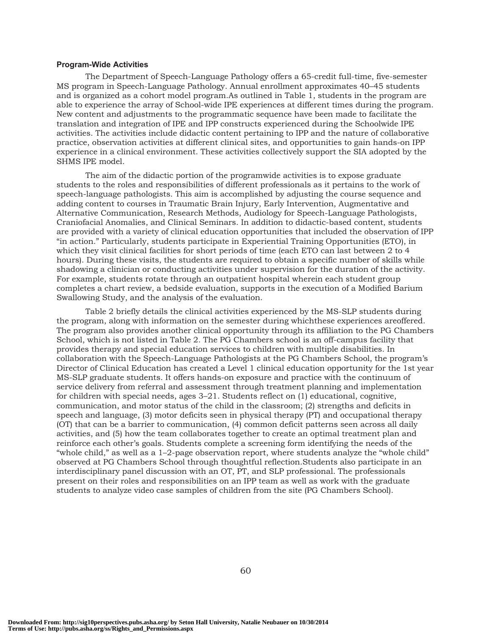#### Program-Wide Activities

The Department of Speech-Language Pathology offers a 65-credit full-time, five-semester MS program in Speech-Language Pathology. Annual enrollment approximates 40–45 students and is organized as a cohort model program.As outlined in Table 1, students in the program are able to experience the array of School-wide IPE experiences at different times during the program. New content and adjustments to the programmatic sequence have been made to facilitate the translation and integration of IPE and IPP constructs experienced during the Schoolwide IPE activities. The activities include didactic content pertaining to IPP and the nature of collaborative practice, observation activities at different clinical sites, and opportunities to gain hands-on IPP experience in a clinical environment. These activities collectively support the SIA adopted by the SHMS IPE model.

The aim of the didactic portion of the programwide activities is to expose graduate students to the roles and responsibilities of different professionals as it pertains to the work of speech-language pathologists. This aim is accomplished by adjusting the course sequence and adding content to courses in Traumatic Brain Injury, Early Intervention, Augmentative and Alternative Communication, Research Methods, Audiology for Speech-Language Pathologists, Craniofacial Anomalies, and Clinical Seminars. In addition to didactic-based content, students are provided with a variety of clinical education opportunities that included the observation of IPP "in action." Particularly, students participate in Experiential Training Opportunities (ETO), in which they visit clinical facilities for short periods of time (each ETO can last between 2 to 4 hours). During these visits, the students are required to obtain a specific number of skills while shadowing a clinician or conducting activities under supervision for the duration of the activity. For example, students rotate through an outpatient hospital wherein each student group completes a chart review, a bedside evaluation, supports in the execution of a Modified Barium Swallowing Study, and the analysis of the evaluation.

Table 2 briefly details the clinical activities experienced by the MS-SLP students during the program, along with information on the semester during whichthese experiences areoffered. The program also provides another clinical opportunity through its affiliation to the PG Chambers School, which is not listed in Table 2. The PG Chambers school is an off-campus facility that provides therapy and special education services to children with multiple disabilities. In collaboration with the Speech-Language Pathologists at the PG Chambers School, the program's Director of Clinical Education has created a Level 1 clinical education opportunity for the 1st year MS-SLP graduate students. It offers hands-on exposure and practice with the continuum of service delivery from referral and assessment through treatment planning and implementation for children with special needs, ages 3–21. Students reflect on (1) educational, cognitive, communication, and motor status of the child in the classroom; (2) strengths and deficits in speech and language, (3) motor deficits seen in physical therapy (PT) and occupational therapy (OT) that can be a barrier to communication, (4) common deficit patterns seen across all daily activities, and (5) how the team collaborates together to create an optimal treatment plan and reinforce each other's goals. Students complete a screening form identifying the needs of the "whole child," as well as a 1–2-page observation report, where students analyze the "whole child" observed at PG Chambers School through thoughtful reflection.Students also participate in an interdisciplinary panel discussion with an OT, PT, and SLP professional. The professionals present on their roles and responsibilities on an IPP team as well as work with the graduate students to analyze video case samples of children from the site (PG Chambers School).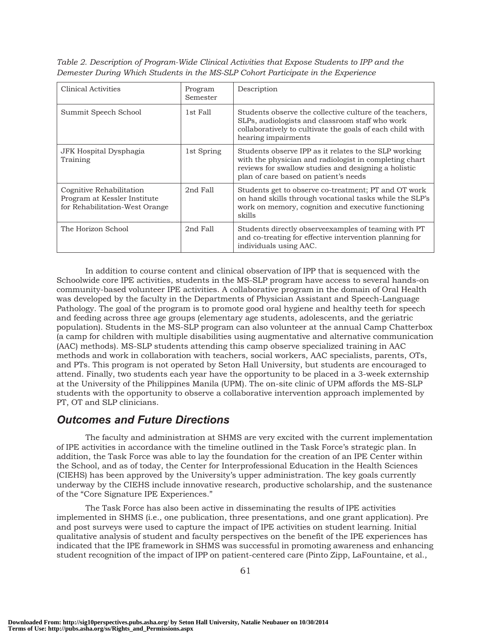| Clinical Activities                                                                        | Program<br>Semester | Description                                                                                                                                                                                                      |
|--------------------------------------------------------------------------------------------|---------------------|------------------------------------------------------------------------------------------------------------------------------------------------------------------------------------------------------------------|
| Summit Speech School                                                                       | 1st Fall            | Students observe the collective culture of the teachers,<br>SLPs, audiologists and classroom staff who work<br>collaboratively to cultivate the goals of each child with<br>hearing impairments                  |
| JFK Hospital Dysphagia<br>Training                                                         | 1st Spring          | Students observe IPP as it relates to the SLP working<br>with the physician and radiologist in completing chart<br>reviews for swallow studies and designing a holistic<br>plan of care based on patient's needs |
| Cognitive Rehabilitation<br>Program at Kessler Institute<br>for Rehabilitation-West Orange | 2nd Fall            | Students get to observe co-treatment; PT and OT work<br>on hand skills through vocational tasks while the SLP's<br>work on memory, cognition and executive functioning<br>skills                                 |
| The Horizon School                                                                         | 2nd Fall            | Students directly observe examples of teaming with PT<br>and co-treating for effective intervention planning for<br>individuals using AAC.                                                                       |

Table 2. Description of Program-Wide Clinical Activities that Expose Students to IPP and the Demester During Which Students in the MS-SLP Cohort Participate in the Experience

In addition to course content and clinical observation of IPP that is sequenced with the Schoolwide core IPE activities, students in the MS-SLP program have access to several hands-on community-based volunteer IPE activities. A collaborative program in the domain of Oral Health was developed by the faculty in the Departments of Physician Assistant and Speech-Language Pathology. The goal of the program is to promote good oral hygiene and healthy teeth for speech and feeding across three age groups (elementary age students, adolescents, and the geriatric population). Students in the MS-SLP program can also volunteer at the annual Camp Chatterbox (a camp for children with multiple disabilities using augmentative and alternative communication (AAC) methods). MS-SLP students attending this camp observe specialized training in AAC methods and work in collaboration with teachers, social workers, AAC specialists, parents, OTs, and PTs. This program is not operated by Seton Hall University, but students are encouraged to attend. Finally, two students each year have the opportunity to be placed in a 3-week externship at the University of the Philippines Manila (UPM). The on-site clinic of UPM affords the MS-SLP students with the opportunity to observe a collaborative intervention approach implemented by PT, OT and SLP clinicians.

# Outcomes and Future Directions

The faculty and administration at SHMS are very excited with the current implementation of IPE activities in accordance with the timeline outlined in the Task Force's strategic plan. In addition, the Task Force was able to lay the foundation for the creation of an IPE Center within the School, and as of today, the Center for Interprofessional Education in the Health Sciences (CIEHS) has been approved by the University's upper administration. The key goals currently underway by the CIEHS include innovative research, productive scholarship, and the sustenance of the "Core Signature IPE Experiences."

The Task Force has also been active in disseminating the results of IPE activities implemented in SHMS (i.e., one publication, three presentations, and one grant application). Pre and post surveys were used to capture the impact of IPE activities on student learning. Initial qualitative analysis of student and faculty perspectives on the benefit of the IPE experiences has indicated that the IPE framework in SHMS was successful in promoting awareness and enhancing student recognition of the impact of IPP on patient-centered care (Pinto Zipp, LaFountaine, et al.,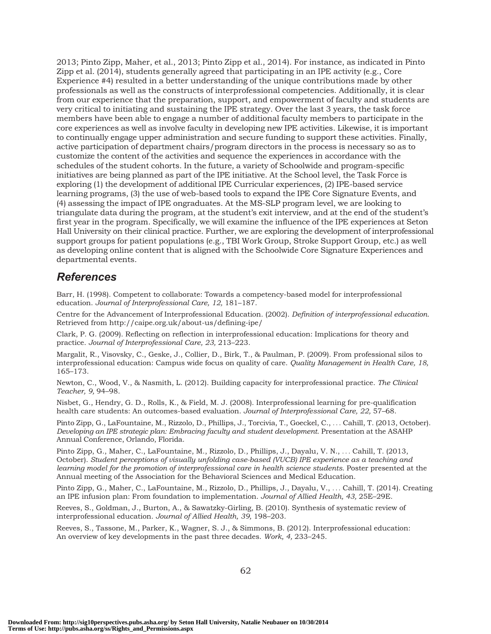2013; Pinto Zipp, Maher, et al., 2013; Pinto Zipp et al., 2014). For instance, as indicated in Pinto Zipp et al. (2014), students generally agreed that participating in an IPE activity (e.g., Core Experience #4) resulted in a better understanding of the unique contributions made by other professionals as well as the constructs of interprofessional competencies. Additionally, it is clear from our experience that the preparation, support, and empowerment of faculty and students are very critical to initiating and sustaining the IPE strategy. Over the last 3 years, the task force members have been able to engage a number of additional faculty members to participate in the core experiences as well as involve faculty in developing new IPE activities. Likewise, it is important to continually engage upper administration and secure funding to support these activities. Finally, active participation of department chairs/program directors in the process is necessary so as to customize the content of the activities and sequence the experiences in accordance with the schedules of the student cohorts. In the future, a variety of Schoolwide and program-specific initiatives are being planned as part of the IPE initiative. At the School level, the Task Force is exploring (1) the development of additional IPE Curricular experiences, (2) IPE-based service learning programs, (3) the use of web-based tools to expand the IPE Core Signature Events, and (4) assessing the impact of IPE ongraduates. At the MS-SLP program level, we are looking to triangulate data during the program, at the student's exit interview, and at the end of the student's first year in the program. Specifically, we will examine the influence of the IPE experiences at Seton Hall University on their clinical practice. Further, we are exploring the development of interprofessional support groups for patient populations (e.g., TBI Work Group, Stroke Support Group, etc.) as well as developing online content that is aligned with the Schoolwide Core Signature Experiences and departmental events.

## References

Barr, H. (1998). Competent to collaborate: Towards a competency-based model for interprofessional education. Journal of Interprofessional Care, 12, 181–187.

Centre for the Advancement of Interprofessional Education. (2002). Definition of interprofessional education. Retrieved from http://caipe.org.uk/about-us/defining-ipe/

Clark, P. G. (2009). Reflecting on reflection in interprofessional education: Implications for theory and practice. Journal of Interprofessional Care, 23, 213–223.

Margalit, R., Visovsky, C., Geske, J., Collier, D., Birk, T., & Paulman, P. (2009). From professional silos to interprofessional education: Campus wide focus on quality of care. Quality Management in Health Care, 18, 165–173.

Newton, C., Wood, V., & Nasmith, L. (2012). Building capacity for interprofessional practice. The Clinical Teacher, 9, 94–98.

Nisbet, G., Hendry, G. D., Rolls, K., & Field, M. J. (2008). Interprofessional learning for pre-qualification health care students: An outcomes-based evaluation. Journal of Interprofessional Care, 22, 57–68.

Pinto Zipp, G., LaFountaine, M., Rizzolo, D., Phillips, J., Torcivia, T., Goeckel, C., ... Cahill, T. (2013, October). Developing an IPE strategic plan: Embracing faculty and student development. Presentation at the ASAHP Annual Conference, Orlando, Florida.

Pinto Zipp, G., Maher, C., LaFountaine, M., Rizzolo, D., Phillips, J., Dayalu, V. N., ... Cahill, T. (2013, October). Student perceptions of visually unfolding case-based (VUCB) IPE experience as a teaching and learning model for the promotion of interprofessional care in health science students. Poster presented at the Annual meeting of the Association for the Behavioral Sciences and Medical Education.

Pinto Zipp, G., Maher, C., LaFountaine, M., Rizzolo, D., Phillips, J., Dayalu, V., ... Cahill, T. (2014). Creating an IPE infusion plan: From foundation to implementation. Journal of Allied Health, 43, 25E–29E.

Reeves, S., Goldman, J., Burton, A., & Sawatzky-Girling, B. (2010). Synthesis of systematic review of interprofessional education. Journal of Allied Health, 39, 198–203.

Reeves, S., Tassone, M., Parker, K., Wagner, S. J., & Simmons, B. (2012). Interprofessional education: An overview of key developments in the past three decades. Work, 4, 233–245.